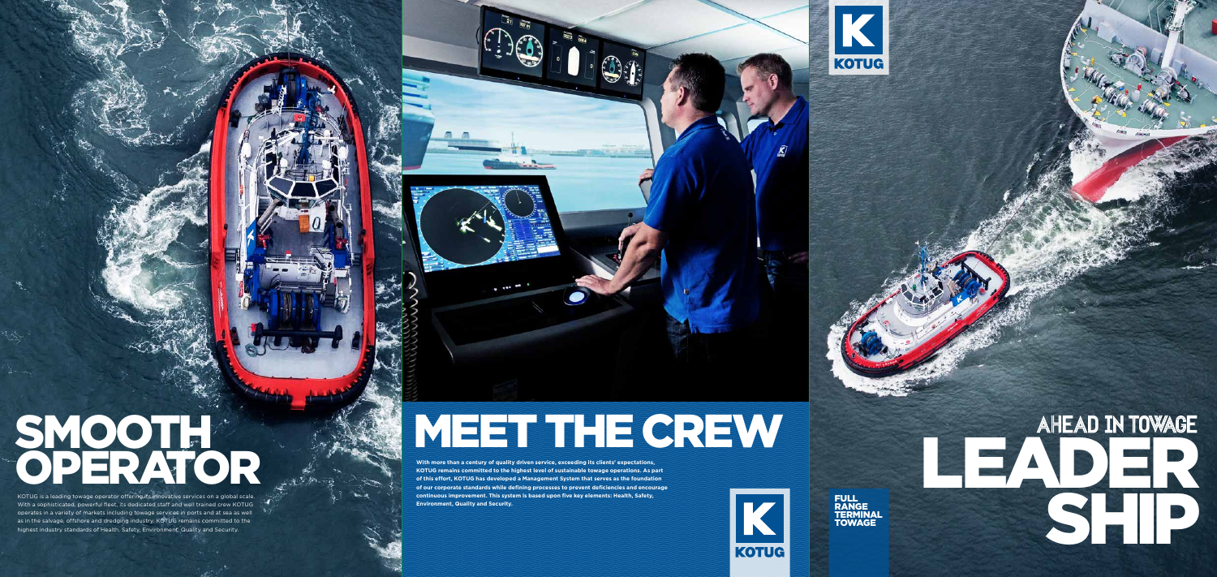## SMOOTH OPERATOR

KOTUG is a leading towage operator offering its innovative services on a global scale. With a sophisticated, powerful fleet, its dedicated staff and well trained crew KOTUG operates in a variety of markets including towage services in ports and at sea as well as in the salvage, offshore and dredging industry. KOTUG remains committed to the highest industry standards of Health, Safety, Environment, Quality and Security.

## MEET THE CREW

RANGE **TERMINAL TOWAGE** 



**With more than a century of quality driven service, exceeding its clients' expectations, KOTUG remains committed to the highest level of sustainable towage operations. As part of this effort, KOTUG has developed a Management System that serves as the foundation of our corporate standards while defining processes to prevent deficiencies and encourage continuous improvement. This system is based upon five key elements: Health, Safety, Environment, Quality and Security.**